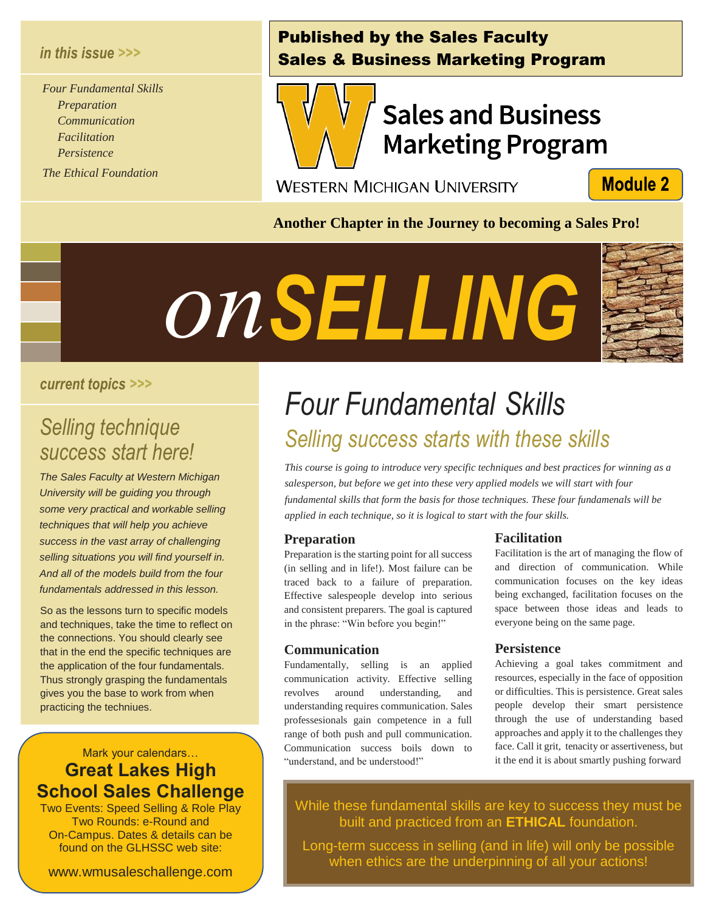### *in this issue >>>*

*Four Fundamental Skills Preparation Communication Facilitation Persistence*

*The Ethical Foundation*

## Published by the Sales Faculty Sales & Business Marketing Program



## **Sales and Business Marketing Program**

**WESTERN MICHIGAN UNIVERSITY** 

**Module 2** 

**Another Chapter in the Journey to becoming a Sales Pro!**



#### *current topics >>>*

# *Selling technique Seed*<br>Seren<br>Sere!

*The Sales Faculty at Western Michigan University will be guiding you through some very practical and workable selling techniques that will help you achieve success in the vast array of challenging selling situations you will find yourself in. And all of the models build from the four fundamentals addressed in this lesson.*

So as the lessons turn to specific models and techniques, take the time to reflect on the connections. You should clearly see that in the end the specific techniques are the application of the four fundamentals. Thus strongly grasping the fundamentals gives you the base to work from when practicing the techniues.

## Mark your calendars… **Great Lakes High School Sales Challenge**

Two Events: Speed Selling & Role Play Two Rounds: e-Round and On-Campus. Dates & details can be found on the GLHSSC web site:

www.wmusaleschallenge.com

## *Four Fundamental Skills success start here! Selling success starts with these skills*

*This course is going to introduce very specific techniques and best practices for winning as a salesperson, but before we get into these very applied models we will start with four fundamental skills that form the basis for those techniques. These four fundamenals will be applied in each technique, so it is logical to start with the four skills.*

#### **Preparation**

Preparation is the starting point for all success (in selling and in life!). Most failure can be traced back to a failure of preparation. Effective salespeople develop into serious and consistent preparers. The goal is captured in the phrase: "Win before you begin!"

#### **Communication**

Fundamentally, selling is an applied communication activity. Effective selling revolves around understanding, and understanding requires communication. Sales professesionals gain competence in a full range of both push and pull communication. Communication success boils down to "understand, and be understood!"

#### **Facilitation**

Facilitation is the art of managing the flow of and direction of communication. While communication focuses on the key ideas being exchanged, facilitation focuses on the space between those ideas and leads to everyone being on the same page.

#### **Persistence**

Achieving a goal takes commitment and resources, especially in the face of opposition or difficulties. This is persistence. Great sales people develop their smart persistence through the use of understanding based approaches and apply it to the challenges they face. Call it grit, tenacity or assertiveness, but it the end it is about smartly pushing forward

While these fundamental skills are key to success they must be built and practiced from an **ETHICAL** foundation.

Long-term success in selling (and in life) will only be possible when ethics are the underpinning of all your actions!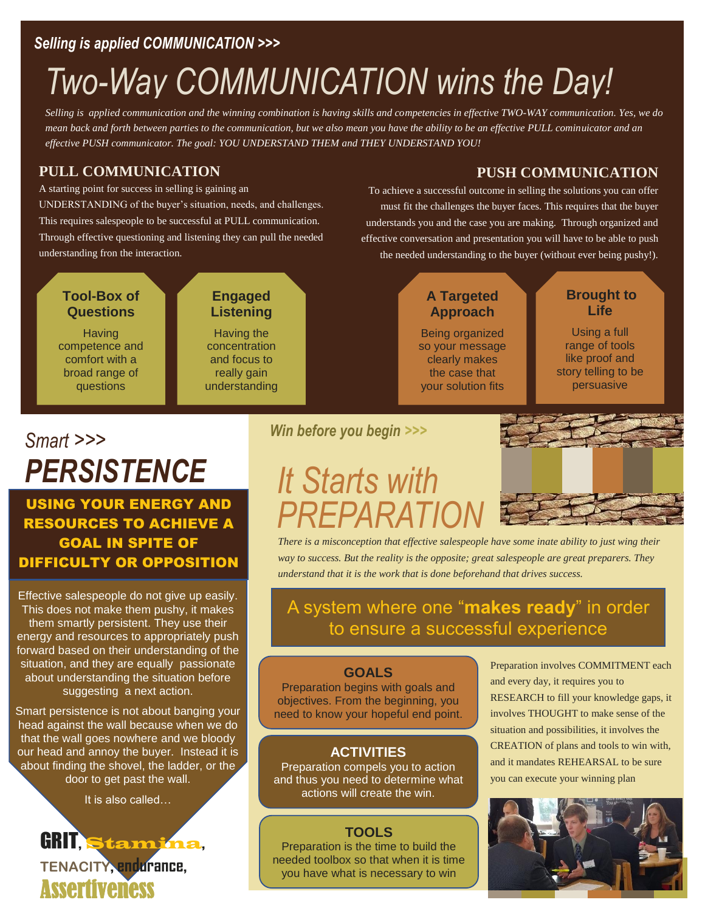## *Selling is applied COMMUNICATION >>>*

## *Two-Way COMMUNICATION wins the Day!*

*Selling is applied communication and the winning combination is having skills and competencies in effective TWO-WAY communication. Yes, we do mean back and forth between parties to the communication, but we also mean you have the ability to be an effective PULL cominuicator and an effective PUSH communicator. The goal: YOU UNDERSTAND THEM and THEY UNDERSTAND YOU!*

## **PULL COMMUNICATION**

A starting point for success in selling is gaining an UNDERSTANDING of the buyer's situation, needs, and challenges. This requires salespeople to be successful at PULL communication. Through effective questioning and listening they can pull the needed understanding fron the interaction.

#### **Tool-Box of Questions**

**Having** competence and comfort with a broad range of questions

## **Engaged Listening**

Having the concentration and focus to really gain understanding

## **PUSH COMMUNICATION**

To achieve a successful outcome in selling the solutions you can offer must fit the challenges the buyer faces. This requires that the buyer understands you and the case you are making. Through organized and effective conversation and presentation you will have to be able to push the needed understanding to the buyer (without ever being pushy!).

## **A Targeted Approach**

Being organized so your message clearly makes the case that your solution fits

### **Brought to Life**

Using a full range of tools like proof and story telling to be persuasive

## *Smart >>> PERSISTENCE*

USING YOUR ENERGY AND RESOURCES TO ACHIEVE A GOAL IN SPITE OF DIFFICULTY OR OPPOSITION

Effective salespeople do not give up easily. This does not make them pushy, it makes them smartly persistent. They use their energy and resources to appropriately push forward based on their understanding of the situation, and they are equally passionate about understanding the situation before suggesting a next action.

Smart persistence is not about banging your head against the wall because when we do that the wall goes nowhere and we bloody our head and annoy the buyer. Instead it is about finding the shovel, the ladder, or the door to get past the wall.

It is also called…

## GRIT, Stamina, **TENACITY**, **endurance**, **Assertiveness**

## *Win before you begin >>>*

## *It Starts with PREPARATION*



*There is a misconception that effective salespeople have some inate ability to just wing their way to success. But the reality is the opposite; great salespeople are great preparers. They understand that it is the work that is done beforehand that drives success.* 

## A system where one "**makes ready**" in order to ensure a successful experience

#### **GOALS**

Preparation begins with goals and objectives. From the beginning, you need to know your hopeful end point.

### **ACTIVITIES**

Preparation compels you to action and thus you need to determine what actions will create the win.

## **TOOLS**

Preparation is the time to build the needed toolbox so that when it is time you have what is necessary to win

Preparation involves COMMITMENT each and every day, it requires you to RESEARCH to fill your knowledge gaps, it involves THOUGHT to make sense of the situation and possibilities, it involves the CREATION of plans and tools to win with, and it mandates REHEARSAL to be sure you can execute your winning plan